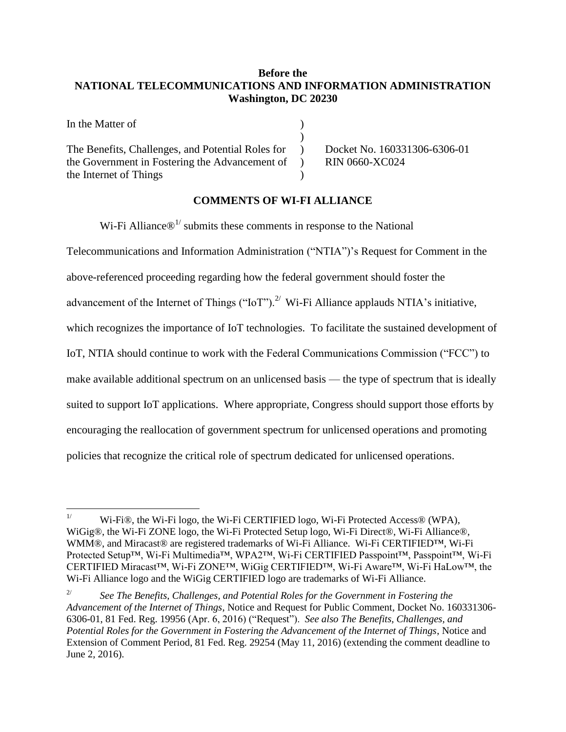# **Before the NATIONAL TELECOMMUNICATIONS AND INFORMATION ADMINISTRATION Washington, DC 20230**

| In the Matter of                                    |                          |                    |
|-----------------------------------------------------|--------------------------|--------------------|
|                                                     |                          |                    |
| The Benefits, Challenges, and Potential Roles for ) |                          | Docket No. 16      |
| the Government in Fostering the Advancement of      | $\overline{\phantom{a}}$ | <b>RIN 0660-XC</b> |
| the Internet of Things                              |                          |                    |

60331306-6306-01  $2024$ 

## **COMMENTS OF WI-FI ALLIANCE**

Wi-Fi Alliance $\mathcal{D}^{1/2}$  submits these comments in response to the National

Telecommunications and Information Administration ("NTIA")'s Request for Comment in the above-referenced proceeding regarding how the federal government should foster the advancement of the Internet of Things ("IoT").<sup>2/</sup> Wi-Fi Alliance applauds NTIA's initiative, which recognizes the importance of IoT technologies. To facilitate the sustained development of IoT, NTIA should continue to work with the Federal Communications Commission ("FCC") to make available additional spectrum on an unlicensed basis — the type of spectrum that is ideally suited to support IoT applications. Where appropriate, Congress should support those efforts by encouraging the reallocation of government spectrum for unlicensed operations and promoting policies that recognize the critical role of spectrum dedicated for unlicensed operations.

 $1/$ Wi-Fi®, the Wi-Fi logo, the Wi-Fi CERTIFIED logo, Wi-Fi Protected Access® (WPA), WiGig®, the Wi-Fi ZONE logo, the Wi-Fi Protected Setup logo, Wi-Fi Direct®, Wi-Fi Alliance®, WMM®, and Miracast® are registered trademarks of Wi-Fi Alliance. Wi-Fi CERTIFIED™, Wi-Fi Protected Setup™, Wi-Fi Multimedia™, WPA2™, Wi-Fi CERTIFIED Passpoint™, Passpoint™, Wi-Fi CERTIFIED Miracast™, Wi-Fi ZONE™, WiGig CERTIFIED™, Wi-Fi Aware™, Wi-Fi HaLow™, the Wi-Fi Alliance logo and the WiGig CERTIFIED logo are trademarks of Wi-Fi Alliance.

<sup>2/</sup> *See The Benefits, Challenges, and Potential Roles for the Government in Fostering the Advancement of the Internet of Things*, Notice and Request for Public Comment, Docket No. 160331306- 6306-01, 81 Fed. Reg. 19956 (Apr. 6, 2016) ("Request"). *See also The Benefits, Challenges, and Potential Roles for the Government in Fostering the Advancement of the Internet of Things*, Notice and Extension of Comment Period, 81 Fed. Reg. 29254 (May 11, 2016) (extending the comment deadline to June 2, 2016).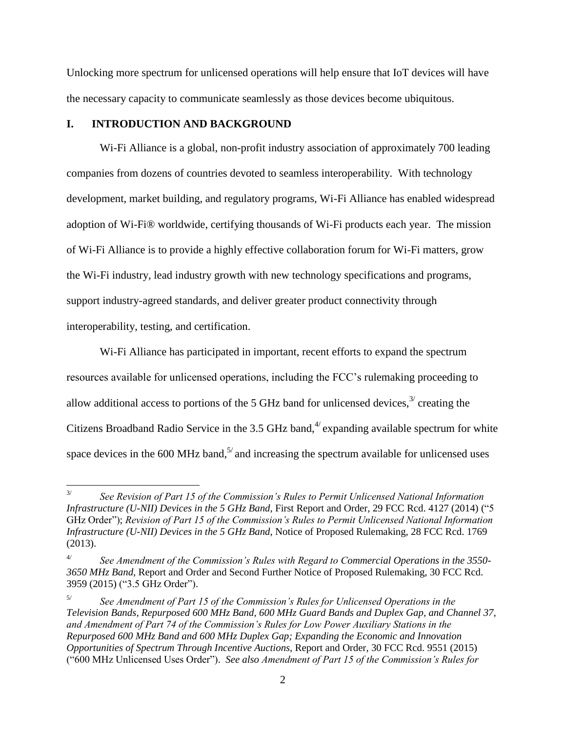Unlocking more spectrum for unlicensed operations will help ensure that IoT devices will have the necessary capacity to communicate seamlessly as those devices become ubiquitous.

### **I. INTRODUCTION AND BACKGROUND**

Wi-Fi Alliance is a global, non-profit industry association of approximately 700 leading companies from dozens of countries devoted to seamless interoperability. With technology development, market building, and regulatory programs, Wi-Fi Alliance has enabled widespread adoption of Wi-Fi® worldwide, certifying thousands of Wi-Fi products each year. The mission of Wi-Fi Alliance is to provide a highly effective collaboration forum for Wi-Fi matters, grow the Wi-Fi industry, lead industry growth with new technology specifications and programs, support industry-agreed standards, and deliver greater product connectivity through interoperability, testing, and certification.

Wi-Fi Alliance has participated in important, recent efforts to expand the spectrum resources available for unlicensed operations, including the FCC's rulemaking proceeding to allow additional access to portions of the 5 GHz band for unlicensed devices, $3/3$  creating the Citizens Broadband Radio Service in the 3.5 GHz band,  $4/$  expanding available spectrum for white space devices in the 600 MHz band,<sup>5/</sup> and increasing the spectrum available for unlicensed uses

 $\frac{1}{3}$ *See Revision of Part 15 of the Commission's Rules to Permit Unlicensed National Information Infrastructure (U-NII) Devices in the 5 GHz Band*, First Report and Order, 29 FCC Rcd. 4127 (2014) ("5 GHz Order"); *Revision of Part 15 of the Commission's Rules to Permit Unlicensed National Information Infrastructure (U-NII) Devices in the 5 GHz Band*, Notice of Proposed Rulemaking, 28 FCC Rcd. 1769 (2013).

<sup>4/</sup> *See Amendment of the Commission's Rules with Regard to Commercial Operations in the 3550- 3650 MHz Band*, Report and Order and Second Further Notice of Proposed Rulemaking, 30 FCC Rcd. 3959 (2015) ("3.5 GHz Order").

<sup>5/</sup> *See Amendment of Part 15 of the Commission's Rules for Unlicensed Operations in the Television Bands, Repurposed 600 MHz Band, 600 MHz Guard Bands and Duplex Gap, and Channel 37, and Amendment of Part 74 of the Commission's Rules for Low Power Auxiliary Stations in the Repurposed 600 MHz Band and 600 MHz Duplex Gap; Expanding the Economic and Innovation Opportunities of Spectrum Through Incentive Auctions*, Report and Order, 30 FCC Rcd. 9551 (2015) ("600 MHz Unlicensed Uses Order"). *See also Amendment of Part 15 of the Commission's Rules for*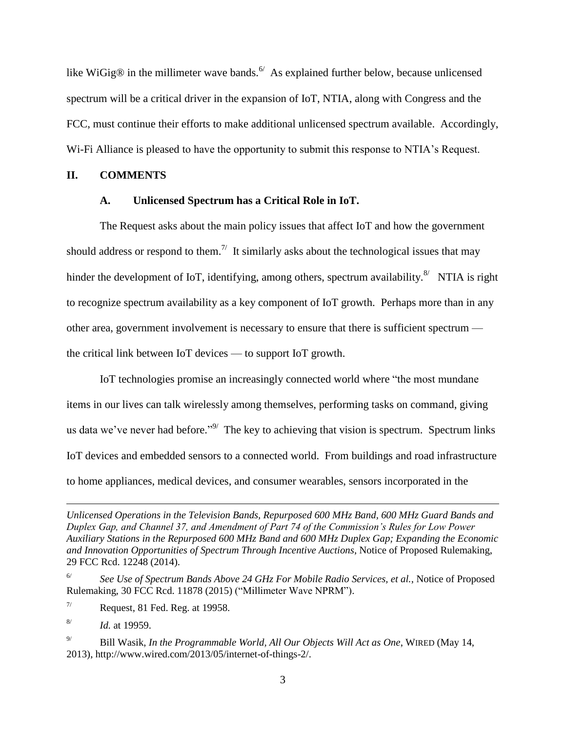like WiGig® in the millimeter wave bands.  $\frac{6}{10}$  As explained further below, because unlicensed spectrum will be a critical driver in the expansion of IoT, NTIA, along with Congress and the FCC, must continue their efforts to make additional unlicensed spectrum available. Accordingly, Wi-Fi Alliance is pleased to have the opportunity to submit this response to NTIA's Request.

### **II. COMMENTS**

#### **A. Unlicensed Spectrum has a Critical Role in IoT.**

The Request asks about the main policy issues that affect IoT and how the government should address or respond to them.<sup> $7/$ </sup> It similarly asks about the technological issues that may hinder the development of IoT, identifying, among others, spectrum availability.<sup>8/</sup> NTIA is right to recognize spectrum availability as a key component of IoT growth. Perhaps more than in any other area, government involvement is necessary to ensure that there is sufficient spectrum the critical link between IoT devices — to support IoT growth.

IoT technologies promise an increasingly connected world where "the most mundane items in our lives can talk wirelessly among themselves, performing tasks on command, giving us data we've never had before."<sup>9/</sup> The key to achieving that vision is spectrum. Spectrum links IoT devices and embedded sensors to a connected world. From buildings and road infrastructure to home appliances, medical devices, and consumer wearables, sensors incorporated in the

 $\overline{a}$ 

*Unlicensed Operations in the Television Bands, Repurposed 600 MHz Band, 600 MHz Guard Bands and Duplex Gap, and Channel 37, and Amendment of Part 74 of the Commission's Rules for Low Power Auxiliary Stations in the Repurposed 600 MHz Band and 600 MHz Duplex Gap; Expanding the Economic and Innovation Opportunities of Spectrum Through Incentive Auctions*, Notice of Proposed Rulemaking, 29 FCC Rcd. 12248 (2014).

<sup>6/</sup> *See Use of Spectrum Bands Above 24 GHz For Mobile Radio Services, et al.*, Notice of Proposed Rulemaking, 30 FCC Rcd. 11878 (2015) ("Millimeter Wave NPRM").

 $\frac{7}{}{}$  Request, 81 Fed. Reg. at 19958.

<sup>8/</sup> *Id.* at 19959.

<sup>9/</sup> Bill Wasik, *In the Programmable World, All Our Objects Will Act as One*, WIRED (May 14, 2013), http://www.wired.com/2013/05/internet-of-things-2/.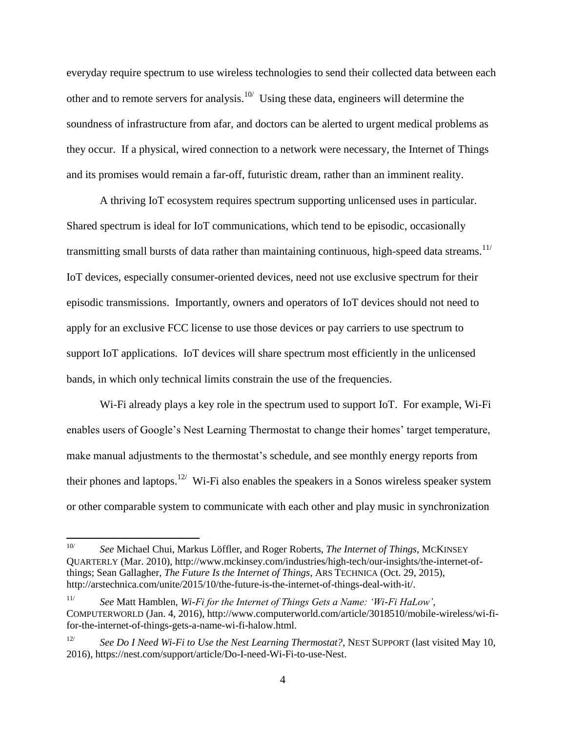everyday require spectrum to use wireless technologies to send their collected data between each other and to remote servers for analysis.<sup>10/</sup> Using these data, engineers will determine the soundness of infrastructure from afar, and doctors can be alerted to urgent medical problems as they occur. If a physical, wired connection to a network were necessary, the Internet of Things and its promises would remain a far-off, futuristic dream, rather than an imminent reality.

A thriving IoT ecosystem requires spectrum supporting unlicensed uses in particular. Shared spectrum is ideal for IoT communications, which tend to be episodic, occasionally transmitting small bursts of data rather than maintaining continuous, high-speed data streams.<sup>11/</sup> IoT devices, especially consumer-oriented devices, need not use exclusive spectrum for their episodic transmissions. Importantly, owners and operators of IoT devices should not need to apply for an exclusive FCC license to use those devices or pay carriers to use spectrum to support IoT applications. IoT devices will share spectrum most efficiently in the unlicensed bands, in which only technical limits constrain the use of the frequencies.

Wi-Fi already plays a key role in the spectrum used to support IoT. For example, Wi-Fi enables users of Google's Nest Learning Thermostat to change their homes' target temperature, make manual adjustments to the thermostat's schedule, and see monthly energy reports from their phones and laptops.<sup>12/</sup> Wi-Fi also enables the speakers in a Sonos wireless speaker system or other comparable system to communicate with each other and play music in synchronization

 $\overline{a}$ 

<sup>10/</sup> *See* Michael Chui, Markus Löffler, and Roger Roberts, *The Internet of Things*, MCKINSEY QUARTERLY (Mar. 2010), http://www.mckinsey.com/industries/high-tech/our-insights/the-internet-ofthings; Sean Gallagher, *The Future Is the Internet of Things*, ARS TECHNICA (Oct. 29, 2015), http://arstechnica.com/unite/2015/10/the-future-is-the-internet-of-things-deal-with-it/.

<sup>11/</sup> *See* Matt Hamblen, *Wi-Fi for the Internet of Things Gets a Name: 'Wi-Fi HaLow'*, COMPUTERWORLD (Jan. 4, 2016), http://www.computerworld.com/article/3018510/mobile-wireless/wi-fifor-the-internet-of-things-gets-a-name-wi-fi-halow.html.

<sup>12/</sup> *See Do I Need Wi-Fi to Use the Nest Learning Thermostat?*, NEST SUPPORT (last visited May 10, 2016), https://nest.com/support/article/Do-I-need-Wi-Fi-to-use-Nest.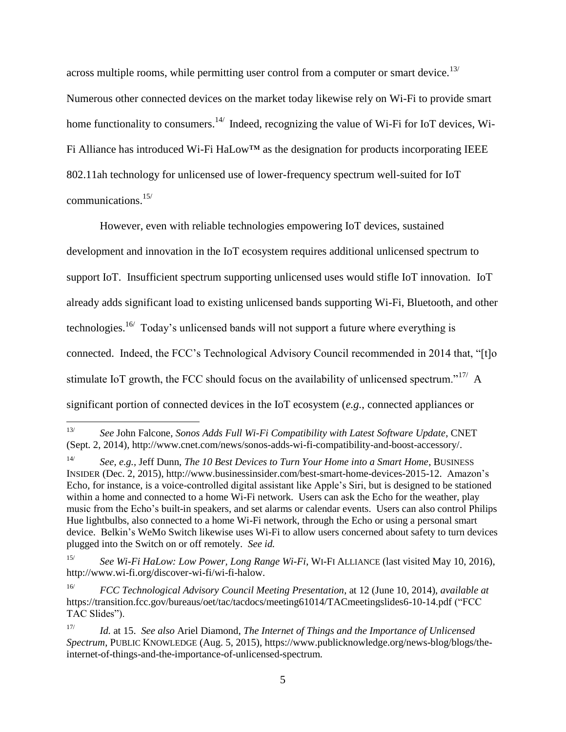across multiple rooms, while permitting user control from a computer or smart device.<sup>13/</sup> Numerous other connected devices on the market today likewise rely on Wi-Fi to provide smart home functionality to consumers.<sup>14/</sup> Indeed, recognizing the value of Wi-Fi for IoT devices, Wi-Fi Alliance has introduced Wi-Fi HaLow™ as the designation for products incorporating IEEE 802.11ah technology for unlicensed use of lower-frequency spectrum well-suited for IoT communications.15/

However, even with reliable technologies empowering IoT devices, sustained development and innovation in the IoT ecosystem requires additional unlicensed spectrum to support IoT. Insufficient spectrum supporting unlicensed uses would stifle IoT innovation. IoT already adds significant load to existing unlicensed bands supporting Wi-Fi, Bluetooth, and other technologies.<sup>16/</sup> Today's unlicensed bands will not support a future where everything is connected. Indeed, the FCC's Technological Advisory Council recommended in 2014 that, "[t]o stimulate IoT growth, the FCC should focus on the availability of unlicensed spectrum."<sup>17/</sup> A significant portion of connected devices in the IoT ecosystem (*e.g.*, connected appliances or

 $\frac{13}{13}$ *See* John Falcone, *Sonos Adds Full Wi-Fi Compatibility with Latest Software Update*, CNET (Sept. 2, 2014), http://www.cnet.com/news/sonos-adds-wi-fi-compatibility-and-boost-accessory/.

<sup>14/</sup> *See, e.g.,* Jeff Dunn, *The 10 Best Devices to Turn Your Home into a Smart Home*, BUSINESS INSIDER (Dec. 2, 2015), http://www.businessinsider.com/best-smart-home-devices-2015-12.Amazon's Echo, for instance, is a voice-controlled digital assistant like Apple's Siri, but is designed to be stationed within a home and connected to a home Wi-Fi network. Users can ask the Echo for the weather, play music from the Echo's built-in speakers, and set alarms or calendar events. Users can also control Philips Hue lightbulbs, also connected to a home Wi-Fi network, through the Echo or using a personal smart device. Belkin's WeMo Switch likewise uses Wi-Fi to allow users concerned about safety to turn devices plugged into the Switch on or off remotely. *See id.*

<sup>15/</sup> *See Wi-Fi HaLow: Low Power, Long Range Wi-Fi*, WI-FI ALLIANCE (last visited May 10, 2016), http://www.wi-fi.org/discover-wi-fi/wi-fi-halow.

<sup>16/</sup> *FCC Technological Advisory Council Meeting Presentation*, at 12 (June 10, 2014), *available at*  https://transition.fcc.gov/bureaus/oet/tac/tacdocs/meeting61014/TACmeetingslides6-10-14.pdf ("FCC TAC Slides").

<sup>17/</sup> *Id.* at 15. *See also* Ariel Diamond, *The Internet of Things and the Importance of Unlicensed Spectrum*, PUBLIC KNOWLEDGE (Aug. 5, 2015), https://www.publicknowledge.org/news-blog/blogs/theinternet-of-things-and-the-importance-of-unlicensed-spectrum.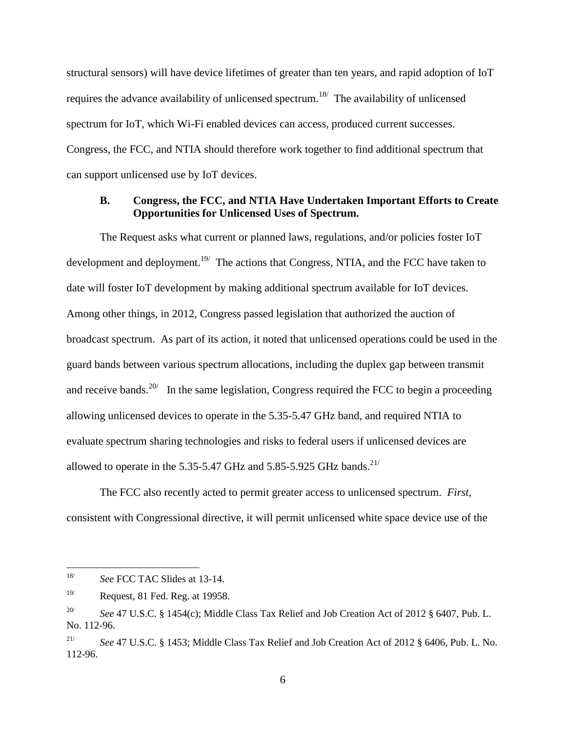structural sensors) will have device lifetimes of greater than ten years, and rapid adoption of IoT requires the advance availability of unlicensed spectrum.<sup>18</sup> The availability of unlicensed spectrum for IoT, which Wi-Fi enabled devices can access, produced current successes. Congress, the FCC, and NTIA should therefore work together to find additional spectrum that can support unlicensed use by IoT devices.

### **B. Congress, the FCC, and NTIA Have Undertaken Important Efforts to Create Opportunities for Unlicensed Uses of Spectrum.**

The Request asks what current or planned laws, regulations, and/or policies foster IoT development and deployment.<sup>19/</sup> The actions that Congress, NTIA, and the FCC have taken to date will foster IoT development by making additional spectrum available for IoT devices. Among other things, in 2012, Congress passed legislation that authorized the auction of broadcast spectrum. As part of its action, it noted that unlicensed operations could be used in the guard bands between various spectrum allocations, including the duplex gap between transmit and receive bands.<sup>20/</sup> In the same legislation, Congress required the FCC to begin a proceeding allowing unlicensed devices to operate in the 5.35-5.47 GHz band, and required NTIA to evaluate spectrum sharing technologies and risks to federal users if unlicensed devices are allowed to operate in the 5.35-5.47 GHz and 5.85-5.925 GHz bands. $^{21/}$ 

The FCC also recently acted to permit greater access to unlicensed spectrum. *First*, consistent with Congressional directive, it will permit unlicensed white space device use of the

 18/ *See* FCC TAC Slides at 13-14.

 $19$ / Request, 81 Fed. Reg. at 19958.

<sup>20/</sup> *See* 47 U.S.C. § 1454(c); Middle Class Tax Relief and Job Creation Act of 2012 § 6407, Pub. L. No. 112-96.

<sup>21/</sup> *See* 47 U.S.C. § 1453; Middle Class Tax Relief and Job Creation Act of 2012 § 6406, Pub. L. No. 112-96.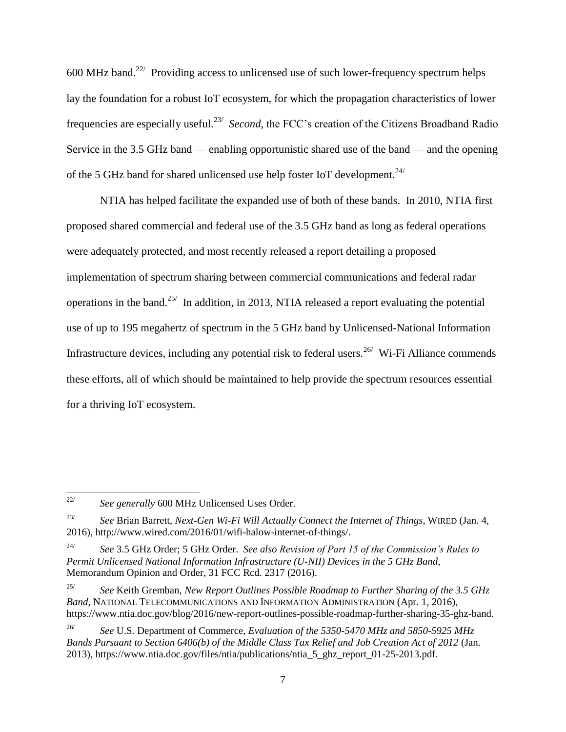$600$  MHz band.<sup>22/</sup> Providing access to unlicensed use of such lower-frequency spectrum helps lay the foundation for a robust IoT ecosystem, for which the propagation characteristics of lower frequencies are especially useful.<sup>23/</sup> Second, the FCC's creation of the Citizens Broadband Radio Service in the 3.5 GHz band — enabling opportunistic shared use of the band — and the opening of the 5 GHz band for shared unlicensed use help foster IoT development.<sup>24/</sup>

NTIA has helped facilitate the expanded use of both of these bands. In 2010, NTIA first proposed shared commercial and federal use of the 3.5 GHz band as long as federal operations were adequately protected, and most recently released a report detailing a proposed implementation of spectrum sharing between commercial communications and federal radar operations in the band.<sup>25/</sup> In addition, in 2013, NTIA released a report evaluating the potential use of up to 195 megahertz of spectrum in the 5 GHz band by Unlicensed-National Information Infrastructure devices, including any potential risk to federal users.  $2^{6/2}$  Wi-Fi Alliance commends these efforts, all of which should be maintained to help provide the spectrum resources essential for a thriving IoT ecosystem.

 $\frac{1}{22}$ *See generally* 600 MHz Unlicensed Uses Order.

<sup>23/</sup> *See* Brian Barrett, *Next-Gen Wi-Fi Will Actually Connect the Internet of Things*, WIRED (Jan. 4, 2016), http://www.wired.com/2016/01/wifi-halow-internet-of-things/.

<sup>24/</sup> *See* 3.5 GHz Order; 5 GHz Order. *See also Revision of Part 15 of the Commission's Rules to Permit Unlicensed National Information Infrastructure (U-NII) Devices in the 5 GHz Band*, Memorandum Opinion and Order, 31 FCC Rcd. 2317 (2016).

<sup>25/</sup> *See* Keith Gremban, *New Report Outlines Possible Roadmap to Further Sharing of the 3.5 GHz Band*, NATIONAL TELECOMMUNICATIONS AND INFORMATION ADMINISTRATION (Apr. 1, 2016), https://www.ntia.doc.gov/blog/2016/new-report-outlines-possible-roadmap-further-sharing-35-ghz-band.

<sup>26/</sup> *See* U.S. Department of Commerce, *Evaluation of the 5350-5470 MHz and 5850-5925 MHz Bands Pursuant to Section 6406(b) of the Middle Class Tax Relief and Job Creation Act of 2012* (Jan. 2013), https://www.ntia.doc.gov/files/ntia/publications/ntia\_5\_ghz\_report\_01-25-2013.pdf.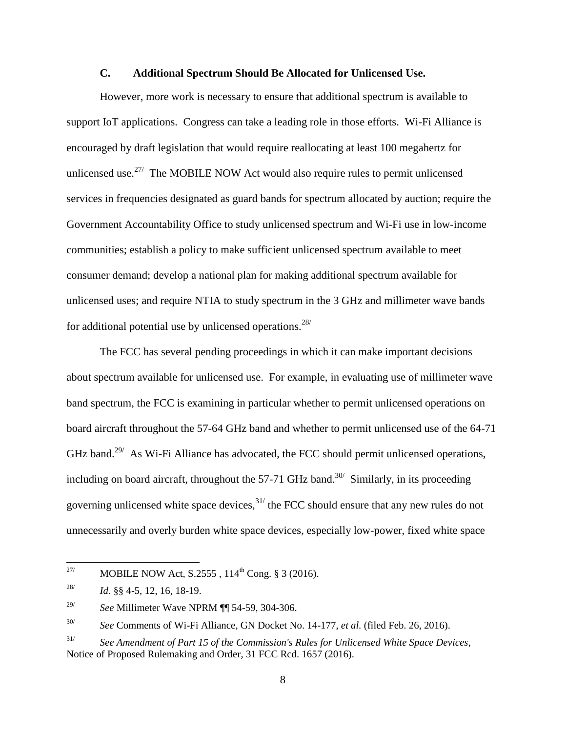### **C. Additional Spectrum Should Be Allocated for Unlicensed Use.**

However, more work is necessary to ensure that additional spectrum is available to support IoT applications. Congress can take a leading role in those efforts. Wi-Fi Alliance is encouraged by draft legislation that would require reallocating at least 100 megahertz for unlicensed use.<sup>27/</sup> The MOBILE NOW Act would also require rules to permit unlicensed services in frequencies designated as guard bands for spectrum allocated by auction; require the Government Accountability Office to study unlicensed spectrum and Wi-Fi use in low-income communities; establish a policy to make sufficient unlicensed spectrum available to meet consumer demand; develop a national plan for making additional spectrum available for unlicensed uses; and require NTIA to study spectrum in the 3 GHz and millimeter wave bands for additional potential use by unlicensed operations.<sup>28/</sup>

The FCC has several pending proceedings in which it can make important decisions about spectrum available for unlicensed use. For example, in evaluating use of millimeter wave band spectrum, the FCC is examining in particular whether to permit unlicensed operations on board aircraft throughout the 57-64 GHz band and whether to permit unlicensed use of the 64-71 GHz band.<sup>29/</sup> As Wi-Fi Alliance has advocated, the FCC should permit unlicensed operations, including on board aircraft, throughout the 57-71 GHz band.<sup>30/</sup> Similarly, in its proceeding governing unlicensed white space devices,  $31/$  the FCC should ensure that any new rules do not unnecessarily and overly burden white space devices, especially low-power, fixed white space

 $27\prime$ MOBILE NOW Act, S.2555,  $114^{th}$  Cong. § 3 (2016).

<sup>28/</sup> *Id.* §§ 4-5, 12, 16, 18-19.

<sup>29/</sup> *See* Millimeter Wave NPRM ¶¶ 54-59, 304-306.

<sup>30/</sup> *See* Comments of Wi-Fi Alliance, GN Docket No. 14-177, *et al.* (filed Feb. 26, 2016).

<sup>31/</sup> *See Amendment of Part 15 of the Commission's Rules for Unlicensed White Space Devices*, Notice of Proposed Rulemaking and Order, 31 FCC Rcd. 1657 (2016).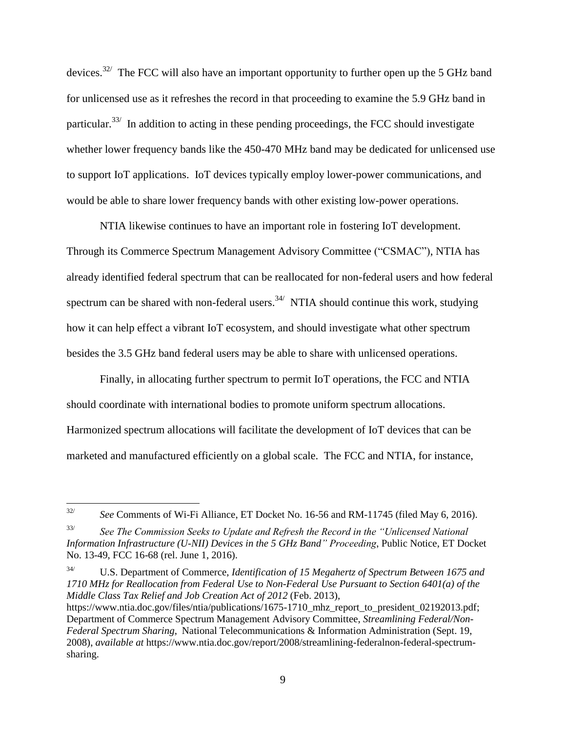devices.<sup>32/</sup> The FCC will also have an important opportunity to further open up the 5 GHz band for unlicensed use as it refreshes the record in that proceeding to examine the 5.9 GHz band in particular.<sup>33/</sup> In addition to acting in these pending proceedings, the FCC should investigate whether lower frequency bands like the 450-470 MHz band may be dedicated for unlicensed use to support IoT applications. IoT devices typically employ lower-power communications, and would be able to share lower frequency bands with other existing low-power operations.

NTIA likewise continues to have an important role in fostering IoT development. Through its Commerce Spectrum Management Advisory Committee ("CSMAC"), NTIA has already identified federal spectrum that can be reallocated for non-federal users and how federal spectrum can be shared with non-federal users.<sup>34/</sup> NTIA should continue this work, studying how it can help effect a vibrant IoT ecosystem, and should investigate what other spectrum besides the 3.5 GHz band federal users may be able to share with unlicensed operations.

Finally, in allocating further spectrum to permit IoT operations, the FCC and NTIA should coordinate with international bodies to promote uniform spectrum allocations. Harmonized spectrum allocations will facilitate the development of IoT devices that can be marketed and manufactured efficiently on a global scale. The FCC and NTIA, for instance,

34/ U.S. Department of Commerce, *Identification of 15 Megahertz of Spectrum Between 1675 and 1710 MHz for Reallocation from Federal Use to Non-Federal Use Pursuant to Section 6401(a) of the Middle Class Tax Relief and Job Creation Act of 2012* (Feb. 2013),

 $\frac{1}{32}$ *See* Comments of Wi-Fi Alliance, ET Docket No. 16-56 and RM-11745 (filed May 6, 2016).

<sup>33/</sup> *See The Commission Seeks to Update and Refresh the Record in the "Unlicensed National Information Infrastructure (U-NII) Devices in the 5 GHz Band" Proceeding*, Public Notice, ET Docket No. 13-49, FCC 16-68 (rel. June 1, 2016).

https://www.ntia.doc.gov/files/ntia/publications/1675-1710 mhz report to president 02192013.pdf; Department of Commerce Spectrum Management Advisory Committee, *Streamlining Federal/Non-Federal Spectrum Sharing*, National Telecommunications & Information Administration (Sept. 19, 2008), *available at* https://www.ntia.doc.gov/report/2008/streamlining-federalnon-federal-spectrumsharing.